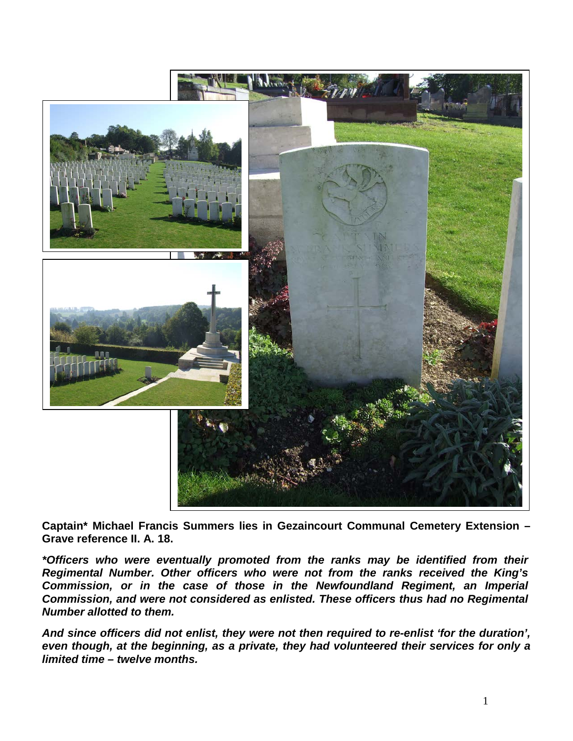

**Captain\* Michael Francis Summers lies in Gezaincourt Communal Cemetery Extension – Grave reference II. A. 18.** 

*\*Officers who were eventually promoted from the ranks may be identified from their Regimental Number. Other officers who were not from the ranks received the King's Commission, or in the case of those in the Newfoundland Regiment, an Imperial Commission, and were not considered as enlisted. These officers thus had no Regimental Number allotted to them.*

*And since officers did not enlist, they were not then required to re-enlist 'for the duration', even though, at the beginning, as a private, they had volunteered their services for only a limited time – twelve months.*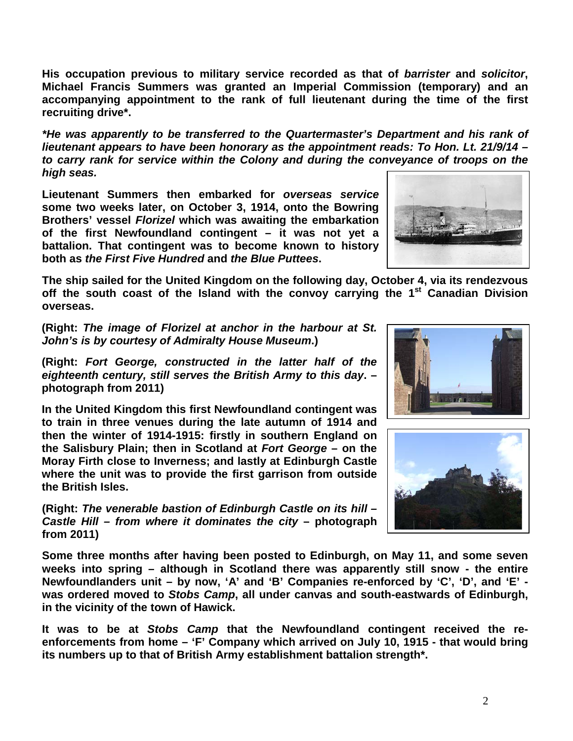2

**His occupation previous to military service recorded as that of** *barrister* **and** *solicitor***, Michael Francis Summers was granted an Imperial Commission (temporary) and an accompanying appointment to the rank of full lieutenant during the time of the first recruiting drive\*.**

*\*He was apparently to be transferred to the Quartermaster's Department and his rank of lieutenant appears to have been honorary as the appointment reads: To Hon. Lt. 21/9/14 – to carry rank for service within the Colony and during the conveyance of troops on the high seas.*

**Lieutenant Summers then embarked for** *overseas service* **some two weeks later, on October 3, 1914, onto the Bowring Brothers' vessel** *Florizel* **which was awaiting the embarkation of the first Newfoundland contingent – it was not yet a battalion. That contingent was to become known to history both as** *the First Five Hundred* **and** *the Blue Puttees***.**

**The ship sailed for the United Kingdom on the following day, October 4, via its rendezvous off the south coast of the Island with the convoy carrying the 1st Canadian Division overseas.**

**(Right:** *The image of Florizel at anchor in the harbour at St. John's is by courtesy of Admiralty House Museum***.)**

**(Right:** *Fort George, constructed in the latter half of the eighteenth century, still serves the British Army to this day***. – photograph from 2011)**

**In the United Kingdom this first Newfoundland contingent was to train in three venues during the late autumn of 1914 and then the winter of 1914-1915: firstly in southern England on the Salisbury Plain; then in Scotland at** *Fort George* **– on the Moray Firth close to Inverness; and lastly at Edinburgh Castle where the unit was to provide the first garrison from outside the British Isles.** 

**(Right:** *The venerable bastion of Edinburgh Castle on its hill – Castle Hill – from where it dominates the city* **– photograph from 2011)**

**Some three months after having been posted to Edinburgh, on May 11, and some seven weeks into spring – although in Scotland there was apparently still snow - the entire Newfoundlanders unit – by now, 'A' and 'B' Companies re-enforced by 'C', 'D', and 'E' was ordered moved to** *Stobs Camp***, all under canvas and south-eastwards of Edinburgh, in the vicinity of the town of Hawick.**

**It was to be at** *Stobs Camp* **that the Newfoundland contingent received the reenforcements from home – 'F' Company which arrived on July 10, 1915 - that would bring its numbers up to that of British Army establishment battalion strength\*.** 





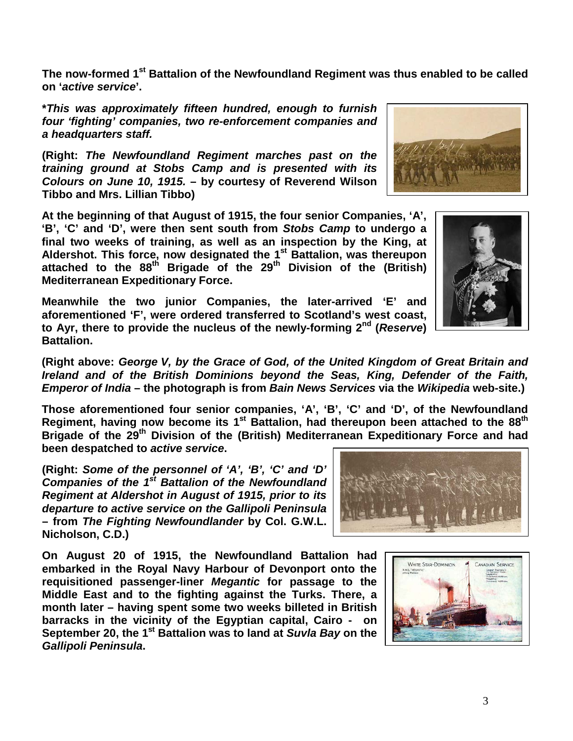3

**The now-formed 1st Battalion of the Newfoundland Regiment was thus enabled to be called on '***active service***'.**

**\****This was approximately fifteen hundred, enough to furnish four 'fighting' companies, two re-enforcement companies and a headquarters staff.*

**(Right:** *The Newfoundland Regiment marches past on the training ground at Stobs Camp and is presented with its Colours on June 10, 1915.* **– by courtesy of Reverend Wilson Tibbo and Mrs. Lillian Tibbo)**

**At the beginning of that August of 1915, the four senior Companies, 'A', 'B', 'C' and 'D', were then sent south from** *Stobs Camp* **to undergo a final two weeks of training, as well as an inspection by the King, at Aldershot. This force, now designated the 1st Battalion, was thereupon attached to the 88th Brigade of the 29th Division of the (British) Mediterranean Expeditionary Force.**

**Meanwhile the two junior Companies, the later-arrived 'E' and aforementioned 'F', were ordered transferred to Scotland's west coast, to Ayr, there to provide the nucleus of the newly-forming 2nd (***Reserve***) Battalion.**

**(Right above:** *George V, by the Grace of God, of the United Kingdom of Great Britain and Ireland and of the British Dominions beyond the Seas, King, Defender of the Faith, Emperor of India* **– the photograph is from** *Bain News Services* **via the** *Wikipedia* **web-site.)**

**Those aforementioned four senior companies, 'A', 'B', 'C' and 'D', of the Newfoundland** Regiment, having now become its 1<sup>st</sup> Battalion, had thereupon been attached to the 88<sup>th</sup> **Brigade of the 29th Division of the (British) Mediterranean Expeditionary Force and had been despatched to** *active service***.**

**(Right:** *Some of the personnel of 'A', 'B', 'C' and 'D' Companies of the 1st Battalion of the Newfoundland Regiment at Aldershot in August of 1915, prior to its departure to active service on the Gallipoli Peninsula*  **– from** *The Fighting Newfoundlander* **by Col. G.W.L. Nicholson, C.D.)**

**On August 20 of 1915, the Newfoundland Battalion had embarked in the Royal Navy Harbour of Devonport onto the requisitioned passenger-liner** *Megantic* **for passage to the Middle East and to the fighting against the Turks. There, a month later – having spent some two weeks billeted in British barracks in the vicinity of the Egyptian capital, Cairo - on September 20, the 1st Battalion was to land at** *Suvla Bay* **on the**  *Gallipoli Peninsula***.**







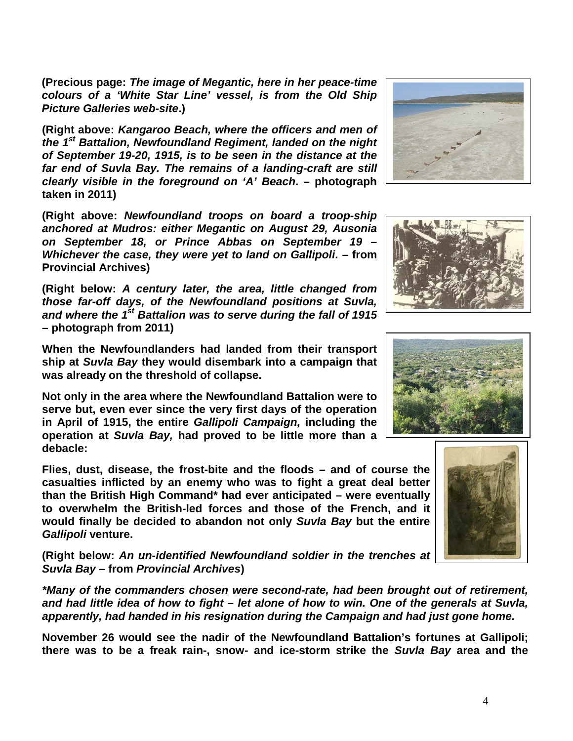**(Precious page:** *The image of Megantic, here in her peace-time colours of a 'White Star Line' vessel, is from the Old Ship Picture Galleries web-site***.)**

**(Right above:** *Kangaroo Beach, where the officers and men of the 1st Battalion, Newfoundland Regiment, landed on the night of September 19-20, 1915, is to be seen in the distance at the far end of Suvla Bay. The remains of a landing-craft are still clearly visible in the foreground on 'A' Beach***. – photograph taken in 2011)**

**(Right above:** *Newfoundland troops on board a troop-ship anchored at Mudros: either Megantic on August 29, Ausonia on September 18, or Prince Abbas on September 19 – Whichever the case, they were yet to land on Gallipoli***. – from Provincial Archives)**

**(Right below:** *A century later, the area, little changed from those far-off days, of the Newfoundland positions at Suvla, and where the 1st Battalion was to serve during the fall of 1915*  **– photograph from 2011)**

**When the Newfoundlanders had landed from their transport ship at** *Suvla Bay* **they would disembark into a campaign that was already on the threshold of collapse.**

**Not only in the area where the Newfoundland Battalion were to serve but, even ever since the very first days of the operation in April of 1915, the entire** *Gallipoli Campaign,* **including the operation at** *Suvla Bay,* **had proved to be little more than a debacle:** 

**Flies, dust, disease, the frost-bite and the floods – and of course the casualties inflicted by an enemy who was to fight a great deal better than the British High Command\* had ever anticipated – were eventually to overwhelm the British-led forces and those of the French, and it would finally be decided to abandon not only** *Suvla Bay* **but the entire**  *Gallipoli* **venture.**

**(Right below:** *An un-identified Newfoundland soldier in the trenches at Suvla Bay –* **from** *Provincial Archives***)**

*\*Many of the commanders chosen were second-rate, had been brought out of retirement, and had little idea of how to fight – let alone of how to win. One of the generals at Suvla, apparently, had handed in his resignation during the Campaign and had just gone home.* 

**November 26 would see the nadir of the Newfoundland Battalion's fortunes at Gallipoli; there was to be a freak rain-, snow- and ice-storm strike the** *Suvla Bay* **area and the** 







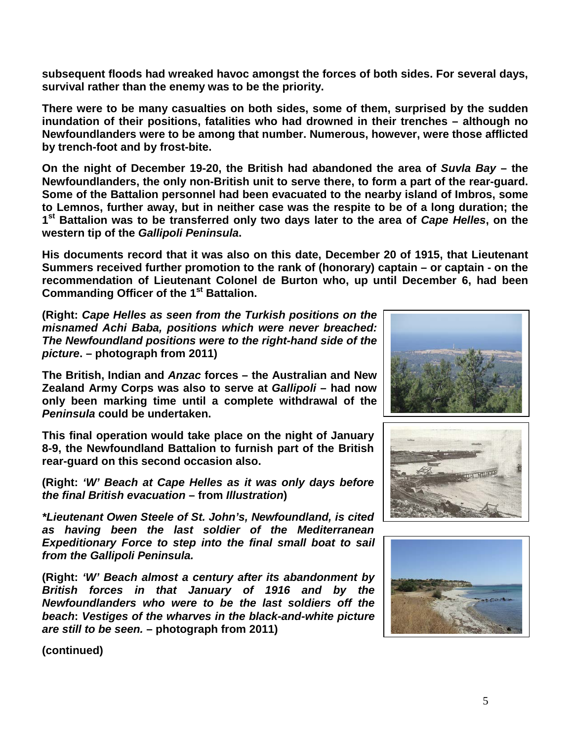**subsequent floods had wreaked havoc amongst the forces of both sides. For several days, survival rather than the enemy was to be the priority.**

**There were to be many casualties on both sides, some of them, surprised by the sudden inundation of their positions, fatalities who had drowned in their trenches – although no Newfoundlanders were to be among that number. Numerous, however, were those afflicted by trench-foot and by frost-bite.**

**On the night of December 19-20, the British had abandoned the area of** *Suvla Bay* **– the Newfoundlanders, the only non-British unit to serve there, to form a part of the rear-guard. Some of the Battalion personnel had been evacuated to the nearby island of Imbros, some to Lemnos, further away, but in neither case was the respite to be of a long duration; the 1st Battalion was to be transferred only two days later to the area of** *Cape Helles***, on the western tip of the** *Gallipoli Peninsula***.**

**His documents record that it was also on this date, December 20 of 1915, that Lieutenant Summers received further promotion to the rank of (honorary) captain – or captain - on the recommendation of Lieutenant Colonel de Burton who, up until December 6, had been Commanding Officer of the 1st Battalion.**

**(Right:** *Cape Helles as seen from the Turkish positions on the misnamed Achi Baba, positions which were never breached: The Newfoundland positions were to the right-hand side of the picture***. – photograph from 2011)**

**The British, Indian and** *Anzac* **forces – the Australian and New Zealand Army Corps was also to serve at** *Gallipoli* **– had now only been marking time until a complete withdrawal of the**  *Peninsula* **could be undertaken.** 

**This final operation would take place on the night of January 8-9, the Newfoundland Battalion to furnish part of the British rear-guard on this second occasion also.**

**(Right:** *'W' Beach at Cape Helles as it was only days before the final British evacuation* **– from** *Illustration***)**

*\*Lieutenant Owen Steele of St. John's, Newfoundland, is cited as having been the last soldier of the Mediterranean Expeditionary Force to step into the final small boat to sail from the Gallipoli Peninsula.*

**(Right:** *'W' Beach almost a century after its abandonment by British forces in that January of 1916 and by the Newfoundlanders who were to be the last soldiers off the beach***:** *Vestiges of the wharves in the black-and-white picture are still to be seen.* **– photograph from 2011)**







**(continued)**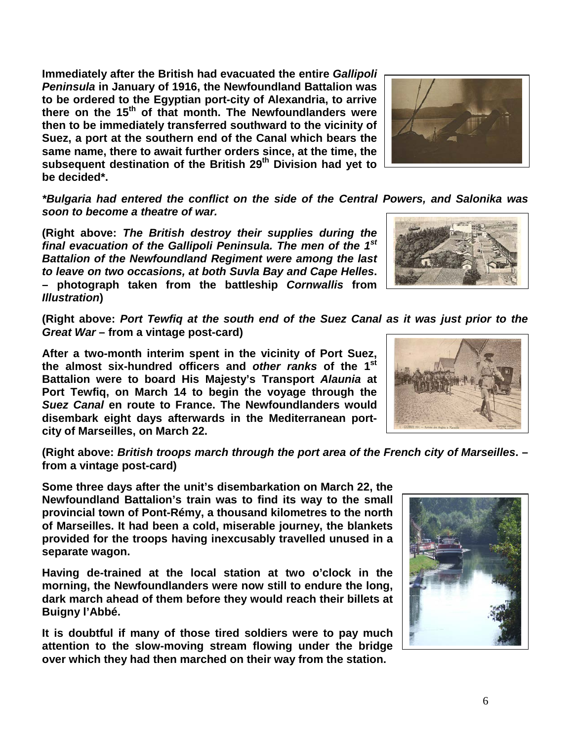**Immediately after the British had evacuated the entire** *Gallipoli Peninsula* **in January of 1916, the Newfoundland Battalion was to be ordered to the Egyptian port-city of Alexandria, to arrive there on the 15th of that month. The Newfoundlanders were then to be immediately transferred southward to the vicinity of Suez, a port at the southern end of the Canal which bears the same name, there to await further orders since, at the time, the subsequent destination of the British 29th Division had yet to be decided\*.**



*\*Bulgaria had entered the conflict on the side of the Central Powers, and Salonika was soon to become a theatre of war.*

**(Right above:** *The British destroy their supplies during the final evacuation of the Gallipoli Peninsula. The men of the 1st Battalion of the Newfoundland Regiment were among the last to leave on two occasions, at both Suvla Bay and Cape Helles***. – photograph taken from the battleship** *Cornwallis* **from**  *Illustration***)**

**(Right above:** *Port Tewfiq at the south end of the Suez Canal as it was just prior to the Great War* **– from a vintage post-card)**

**After a two-month interim spent in the vicinity of Port Suez, the almost six-hundred officers and** *other ranks* **of the 1st Battalion were to board His Majesty's Transport** *Alaunia* **at Port Tewfiq, on March 14 to begin the voyage through the**  *Suez Canal* **en route to France. The Newfoundlanders would disembark eight days afterwards in the Mediterranean portcity of Marseilles, on March 22.**

**(Right above:** *British troops march through the port area of the French city of Marseilles***. – from a vintage post-card)**

**Some three days after the unit's disembarkation on March 22, the Newfoundland Battalion's train was to find its way to the small provincial town of Pont-Rémy, a thousand kilometres to the north of Marseilles. It had been a cold, miserable journey, the blankets provided for the troops having inexcusably travelled unused in a separate wagon.**

**Having de-trained at the local station at two o'clock in the morning, the Newfoundlanders were now still to endure the long, dark march ahead of them before they would reach their billets at Buigny l'Abbé.**

**It is doubtful if many of those tired soldiers were to pay much attention to the slow-moving stream flowing under the bridge over which they had then marched on their way from the station.** 



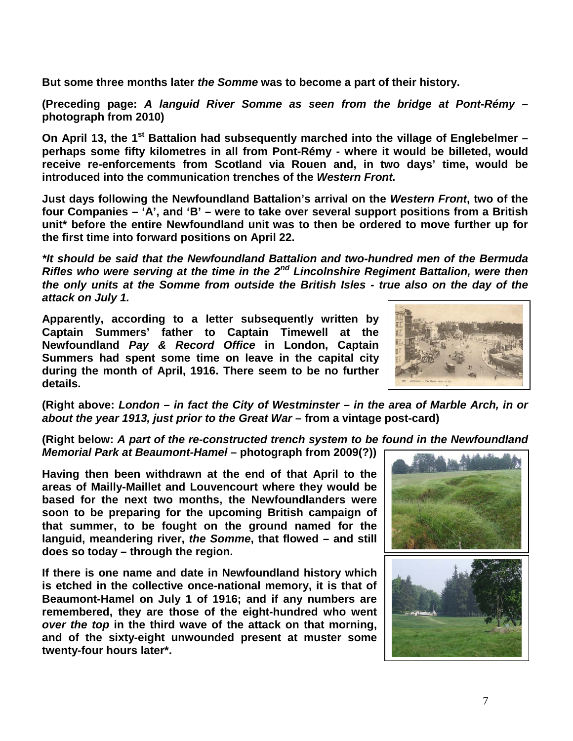**But some three months later** *the Somme* **was to become a part of their history.**

**(Preceding page:** *A languid River Somme as seen from the bridge at Pont-Rémy* **– photograph from 2010)**

**On April 13, the 1st Battalion had subsequently marched into the village of Englebelmer – perhaps some fifty kilometres in all from Pont-Rémy - where it would be billeted, would receive re-enforcements from Scotland via Rouen and, in two days' time, would be introduced into the communication trenches of the** *Western Front.*

**Just days following the Newfoundland Battalion's arrival on the** *Western Front***, two of the four Companies – 'A', and 'B' – were to take over several support positions from a British unit\* before the entire Newfoundland unit was to then be ordered to move further up for the first time into forward positions on April 22.**

*\*It should be said that the Newfoundland Battalion and two-hundred men of the Bermuda Rifles who were serving at the time in the 2nd Lincolnshire Regiment Battalion, were then the only units at the Somme from outside the British Isles - true also on the day of the attack on July 1.*

**Apparently, according to a letter subsequently written by Captain Summers' father to Captain Timewell at the Newfoundland** *Pay & Record Office* **in London, Captain Summers had spent some time on leave in the capital city during the month of April, 1916. There seem to be no further details.**



**(Right above:** *London – in fact the City of Westminster – in the area of Marble Arch, in or about the year 1913, just prior to the Great War* **– from a vintage post-card)**

**(Right below:** *A part of the re-constructed trench system to be found in the Newfoundland Memorial Park at Beaumont-Hamel* **– photograph from 2009(?))**

**Having then been withdrawn at the end of that April to the areas of Mailly-Maillet and Louvencourt where they would be based for the next two months, the Newfoundlanders were soon to be preparing for the upcoming British campaign of that summer, to be fought on the ground named for the languid, meandering river,** *the Somme***, that flowed – and still does so today – through the region.** 

**If there is one name and date in Newfoundland history which is etched in the collective once-national memory, it is that of Beaumont-Hamel on July 1 of 1916; and if any numbers are remembered, they are those of the eight-hundred who went**  *over the top* **in the third wave of the attack on that morning, and of the sixty-eight unwounded present at muster some twenty-four hours later\*.**

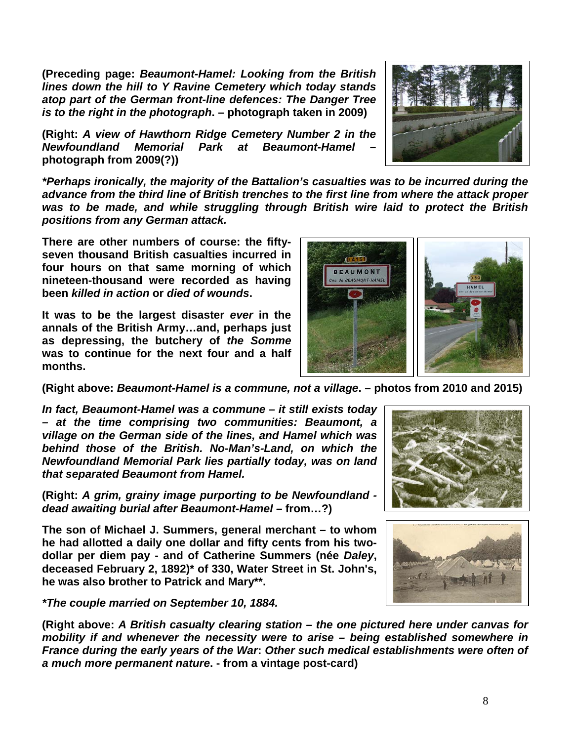**(Preceding page:** *Beaumont-Hamel: Looking from the British lines down the hill to Y Ravine Cemetery which today stands atop part of the German front-line defences: The Danger Tree is to the right in the photograph***. – photograph taken in 2009)**

**(Right:** *A view of Hawthorn Ridge Cemetery Number 2 in the Newfoundland Memorial Park at Beaumont-Hamel* **– photograph from 2009(?))**

*\*Perhaps ironically, the majority of the Battalion's casualties was to be incurred during the advance from the third line of British trenches to the first line from where the attack proper was to be made, and while struggling through British wire laid to protect the British positions from any German attack.*

**There are other numbers of course: the fiftyseven thousand British casualties incurred in four hours on that same morning of which nineteen-thousand were recorded as having been** *killed in action* **or** *died of wounds***.** 

**It was to be the largest disaster** *ever* **in the annals of the British Army…and, perhaps just as depressing, the butchery of** *the Somme* **was to continue for the next four and a half months.**

**(Right above:** *Beaumont-Hamel is a commune, not a village***. – photos from 2010 and 2015)**

*In fact, Beaumont-Hamel was a commune – it still exists today – at the time comprising two communities: Beaumont, a village on the German side of the lines, and Hamel which was behind those of the British. No-Man's-Land, on which the Newfoundland Memorial Park lies partially today, was on land that separated Beaumont from Hamel.* 

**(Right:** *A grim, grainy image purporting to be Newfoundland dead awaiting burial after Beaumont-Hamel –* **from…?)**

**The son of Michael J. Summers, general merchant – to whom he had allotted a daily one dollar and fifty cents from his twodollar per diem pay - and of Catherine Summers (née** *Daley***, deceased February 2, 1892)\* of 330, Water Street in St. John's, he was also brother to Patrick and Mary\*\*.**

*\*The couple married on September 10, 1884.*

**(Right above:** *A British casualty clearing station – the one pictured here under canvas for mobility if and whenever the necessity were to arise – being established somewhere in France during the early years of the War***:** *Other such medical establishments were often of a much more permanent nature***. - from a vintage post-card)**